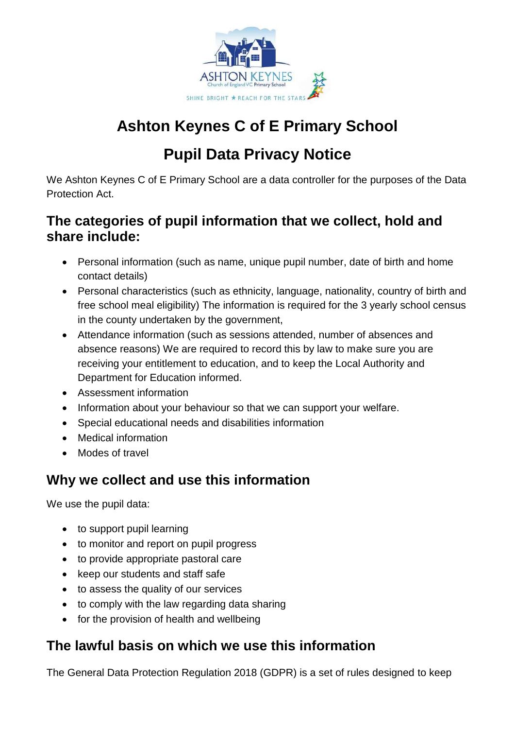

# **Ashton Keynes C of E Primary School**

# **Pupil Data Privacy Notice**

We Ashton Keynes C of E Primary School are a data controller for the purposes of the Data Protection Act.

### **The categories of pupil information that we collect, hold and share include:**

- Personal information (such as name, unique pupil number, date of birth and home contact details)
- Personal characteristics (such as ethnicity, language, nationality, country of birth and free school meal eligibility) The information is required for the 3 yearly school census in the county undertaken by the government,
- Attendance information (such as sessions attended, number of absences and absence reasons) We are required to record this by law to make sure you are receiving your entitlement to education, and to keep the Local Authority and Department for Education informed.
- Assessment information
- Information about your behaviour so that we can support your welfare.
- Special educational needs and disabilities information
- Medical information
- Modes of travel

### **Why we collect and use this information**

We use the pupil data:

- to support pupil learning
- to monitor and report on pupil progress
- to provide appropriate pastoral care
- keep our students and staff safe
- to assess the quality of our services
- to comply with the law regarding data sharing
- for the provision of health and wellbeing

### **The lawful basis on which we use this information**

The General Data Protection Regulation 2018 (GDPR) is a set of rules designed to keep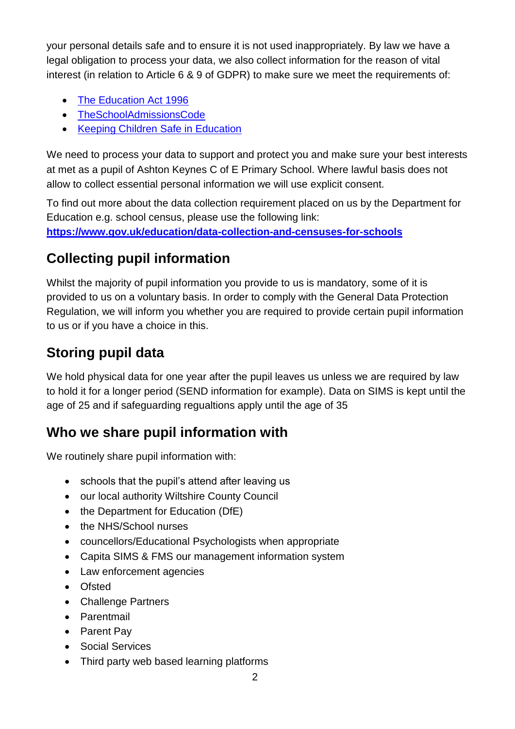your personal details safe and to ensure it is not used inappropriately. By law we have a legal obligation to process your data, we also collect information for the reason of vital interest (in relation to Article 6 & 9 of GDPR) to make sure we meet the requirements of:

- [The Education Act 1996](https://www.legislation.gov.uk/ukpga/1996/56/contents)
- [TheSchoolAdmissionsCode](https://www.gov.uk/government/publications/school-admissions-code--2)
- [Keeping Children Safe in Education](https://www.gov.uk/government/publications/keeping-children-safe-in-education--2)

We need to process your data to support and protect you and make sure your best interests at met as a pupil of Ashton Keynes C of E Primary School. Where lawful basis does not allow to collect essential personal information we will use explicit consent.

To find out more about the data collection requirement placed on us by the Department for Education e.g. school census, please use the following link: **<https://www.gov.uk/education/data-collection-and-censuses-for-schools>**

## **Collecting pupil information**

Whilst the majority of pupil information you provide to us is mandatory, some of it is provided to us on a voluntary basis. In order to comply with the General Data Protection Regulation, we will inform you whether you are required to provide certain pupil information to us or if you have a choice in this.

## **Storing pupil data**

We hold physical data for one year after the pupil leaves us unless we are required by law to hold it for a longer period (SEND information for example). Data on SIMS is kept until the age of 25 and if safeguarding regualtions apply until the age of 35

### **Who we share pupil information with**

We routinely share pupil information with:

- schools that the pupil's attend after leaving us
- our local authority Wiltshire County Council
- the Department for Education (DfE)
- the NHS/School nurses
- councellors/Educational Psychologists when appropriate
- Capita SIMS & FMS our management information system
- Law enforcement agencies
- Ofsted
- Challenge Partners
- Parentmail
- Parent Pav
- Social Services
- Third party web based learning platforms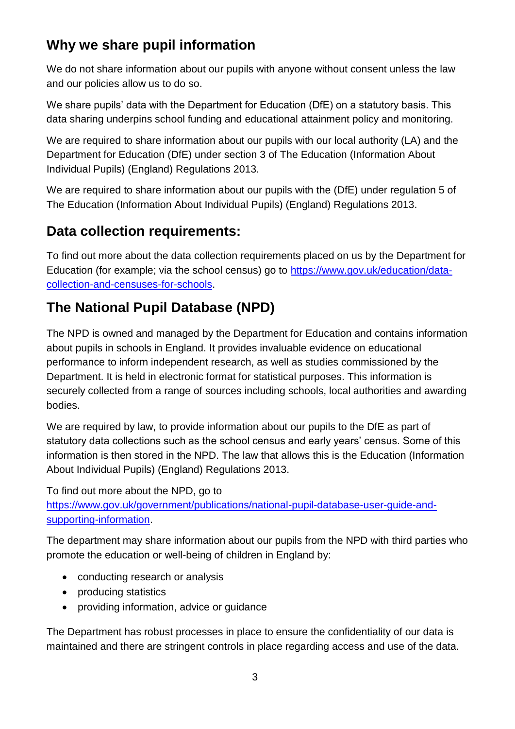### **Why we share pupil information**

We do not share information about our pupils with anyone without consent unless the law and our policies allow us to do so.

We share pupils' data with the Department for Education (DfE) on a statutory basis. This data sharing underpins school funding and educational attainment policy and monitoring.

We are required to share information about our pupils with our local authority (LA) and the Department for Education (DfE) under section 3 of The Education (Information About Individual Pupils) (England) Regulations 2013.

We are required to share information about our pupils with the (DfE) under regulation 5 of The Education (Information About Individual Pupils) (England) Regulations 2013.

### **Data collection requirements:**

To find out more about the data collection requirements placed on us by the Department for Education (for example; via the school census) go to [https://www.gov.uk/education/data](https://www.gov.uk/education/data-collection-and-censuses-for-schools)[collection-and-censuses-for-schools.](https://www.gov.uk/education/data-collection-and-censuses-for-schools)

## **The National Pupil Database (NPD)**

The NPD is owned and managed by the Department for Education and contains information about pupils in schools in England. It provides invaluable evidence on educational performance to inform independent research, as well as studies commissioned by the Department. It is held in electronic format for statistical purposes. This information is securely collected from a range of sources including schools, local authorities and awarding bodies.

We are required by law, to provide information about our pupils to the DfE as part of statutory data collections such as the school census and early years' census. Some of this information is then stored in the NPD. The law that allows this is the Education (Information About Individual Pupils) (England) Regulations 2013.

To find out more about the NPD, go to

[https://www.gov.uk/government/publications/national-pupil-database-user-guide-and](https://www.gov.uk/government/publications/national-pupil-database-user-guide-and-supporting-information)[supporting-information.](https://www.gov.uk/government/publications/national-pupil-database-user-guide-and-supporting-information)

The department may share information about our pupils from the NPD with third parties who promote the education or well-being of children in England by:

- conducting research or analysis
- producing statistics
- providing information, advice or guidance

The Department has robust processes in place to ensure the confidentiality of our data is maintained and there are stringent controls in place regarding access and use of the data.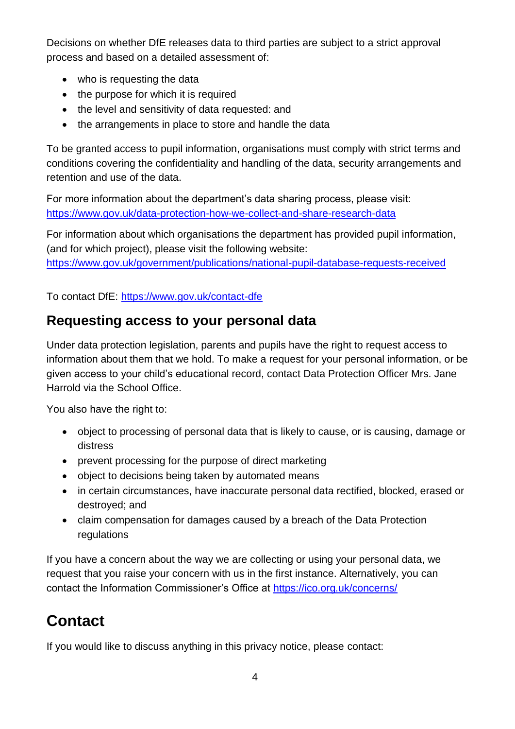Decisions on whether DfE releases data to third parties are subject to a strict approval process and based on a detailed assessment of:

- who is requesting the data
- the purpose for which it is required
- the level and sensitivity of data requested: and
- the arrangements in place to store and handle the data

To be granted access to pupil information, organisations must comply with strict terms and conditions covering the confidentiality and handling of the data, security arrangements and retention and use of the data.

For more information about the department's data sharing process, please visit: <https://www.gov.uk/data-protection-how-we-collect-and-share-research-data>

For information about which organisations the department has provided pupil information, (and for which project), please visit the following website: <https://www.gov.uk/government/publications/national-pupil-database-requests-received>

To contact DfE:<https://www.gov.uk/contact-dfe>

#### **Requesting access to your personal data**

Under data protection legislation, parents and pupils have the right to request access to information about them that we hold. To make a request for your personal information, or be given access to your child's educational record, contact Data Protection Officer Mrs. Jane Harrold via the School Office.

You also have the right to:

- object to processing of personal data that is likely to cause, or is causing, damage or distress
- prevent processing for the purpose of direct marketing
- object to decisions being taken by automated means
- in certain circumstances, have inaccurate personal data rectified, blocked, erased or destroyed; and
- claim compensation for damages caused by a breach of the Data Protection regulations

If you have a concern about the way we are collecting or using your personal data, we request that you raise your concern with us in the first instance. Alternatively, you can contact the Information Commissioner's Office at<https://ico.org.uk/concerns/>

# **Contact**

If you would like to discuss anything in this privacy notice, please contact: